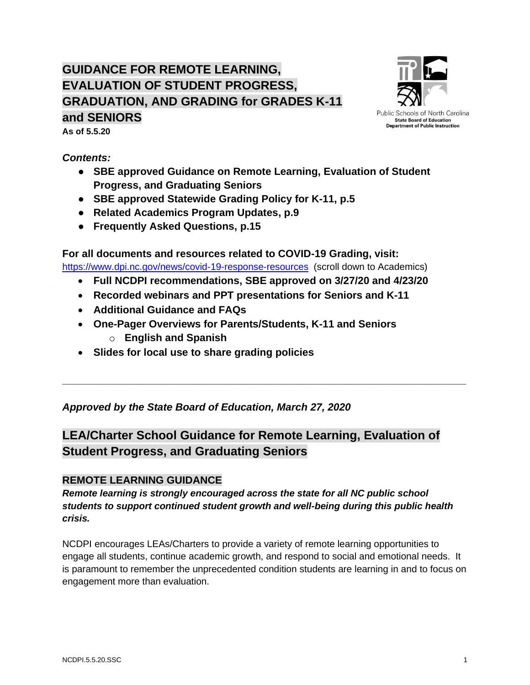# **GUIDANCE FOR REMOTE LEARNING, EVALUATION OF STUDENT PROGRESS, GRADUATION, AND GRADING for GRADES K-11 and SENIORS**



**As of 5.5.20**

*Contents:* 

- **SBE approved Guidance on Remote Learning, Evaluation of Student Progress, and Graduating Seniors**
- **SBE approved Statewide Grading Policy for K-11, p.5**
- **Related Academics Program Updates, p.9**
- **Frequently Asked Questions, p.15**

**For all documents and resources related to COVID-19 Grading, visit:** <https://www.dpi.nc.gov/news/covid-19-response-resources>(scroll down to Academics)

• **Full NCDPI recommendations, SBE approved on 3/27/20 and 4/23/20**

- **Recorded webinars and PPT presentations for Seniors and K-11**
- **Additional Guidance and FAQs**
- **One-Pager Overviews for Parents/Students, K-11 and Seniors**
	- o **English and Spanish**
- **Slides for local use to share grading policies**

*Approved by the State Board of Education, March 27, 2020*

# **LEA/Charter School Guidance for Remote Learning, Evaluation of Student Progress, and Graduating Seniors**

**\_\_\_\_\_\_\_\_\_\_\_\_\_\_\_\_\_\_\_\_\_\_\_\_\_\_\_\_\_\_\_\_\_\_\_\_\_\_\_\_\_\_\_\_\_\_\_\_\_\_\_\_\_\_\_\_\_\_\_\_\_\_\_\_\_\_\_\_\_\_**

# **REMOTE LEARNING GUIDANCE**

*Remote learning is strongly encouraged across the state for all NC public school students to support continued student growth and well-being during this public health crisis.*

NCDPI encourages LEAs/Charters to provide a variety of remote learning opportunities to engage all students, continue academic growth, and respond to social and emotional needs. It is paramount to remember the unprecedented condition students are learning in and to focus on engagement more than evaluation.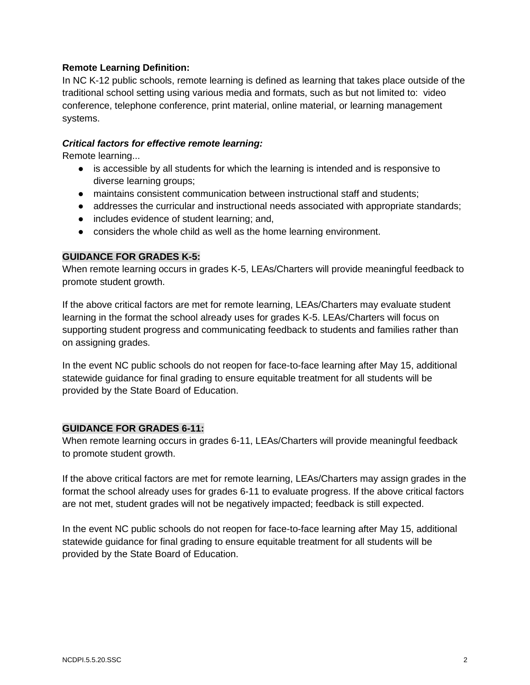#### **Remote Learning Definition:**

In NC K-12 public schools, remote learning is defined as learning that takes place outside of the traditional school setting using various media and formats, such as but not limited to: video conference, telephone conference, print material, online material, or learning management systems.

#### *Critical factors for effective remote learning:*

Remote learning...

- is accessible by all students for which the learning is intended and is responsive to diverse learning groups;
- maintains consistent communication between instructional staff and students;
- addresses the curricular and instructional needs associated with appropriate standards;
- includes evidence of student learning; and,
- considers the whole child as well as the home learning environment.

#### **GUIDANCE FOR GRADES K-5:**

When remote learning occurs in grades K-5, LEAs/Charters will provide meaningful feedback to promote student growth.

If the above critical factors are met for remote learning, LEAs/Charters may evaluate student learning in the format the school already uses for grades K-5. LEAs/Charters will focus on supporting student progress and communicating feedback to students and families rather than on assigning grades.

In the event NC public schools do not reopen for face-to-face learning after May 15, additional statewide guidance for final grading to ensure equitable treatment for all students will be provided by the State Board of Education.

#### **GUIDANCE FOR GRADES 6-11:**

When remote learning occurs in grades 6-11, LEAs/Charters will provide meaningful feedback to promote student growth.

If the above critical factors are met for remote learning, LEAs/Charters may assign grades in the format the school already uses for grades 6-11 to evaluate progress. If the above critical factors are not met, student grades will not be negatively impacted; feedback is still expected.

In the event NC public schools do not reopen for face-to-face learning after May 15, additional statewide guidance for final grading to ensure equitable treatment for all students will be provided by the State Board of Education.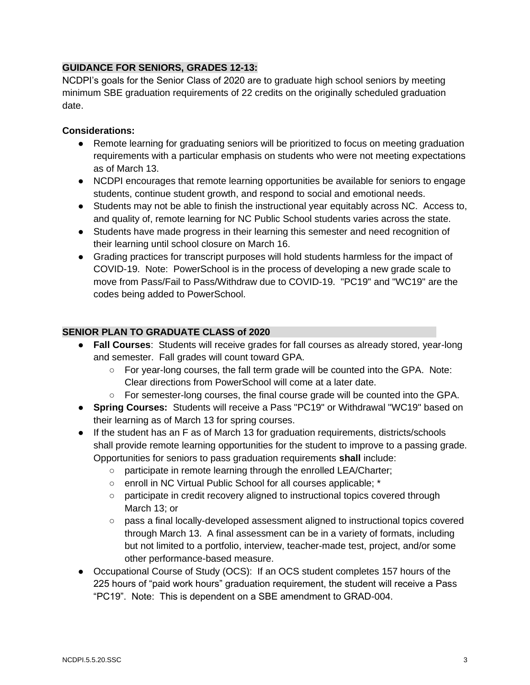### **GUIDANCE FOR SENIORS, GRADES 12-13:**

NCDPI's goals for the Senior Class of 2020 are to graduate high school seniors by meeting minimum SBE graduation requirements of 22 credits on the originally scheduled graduation date.

#### **Considerations:**

- Remote learning for graduating seniors will be prioritized to focus on meeting graduation requirements with a particular emphasis on students who were not meeting expectations as of March 13.
- NCDPI encourages that remote learning opportunities be available for seniors to engage students, continue student growth, and respond to social and emotional needs.
- Students may not be able to finish the instructional year equitably across NC. Access to, and quality of, remote learning for NC Public School students varies across the state.
- Students have made progress in their learning this semester and need recognition of their learning until school closure on March 16.
- Grading practices for transcript purposes will hold students harmless for the impact of COVID-19. Note: PowerSchool is in the process of developing a new grade scale to move from Pass/Fail to Pass/Withdraw due to COVID-19. "PC19" and "WC19" are the codes being added to PowerSchool.

#### **SENIOR PLAN TO GRADUATE CLASS of 2020**

- **Fall Courses**: Students will receive grades for fall courses as already stored, year-long and semester. Fall grades will count toward GPA.
	- $\circ$  For year-long courses, the fall term grade will be counted into the GPA. Note: Clear directions from PowerSchool will come at a later date.
	- For semester-long courses, the final course grade will be counted into the GPA.
- **Spring Courses:** Students will receive a Pass "PC19" or Withdrawal "WC19" based on their learning as of March 13 for spring courses.
- If the student has an F as of March 13 for graduation requirements, districts/schools shall provide remote learning opportunities for the student to improve to a passing grade. Opportunities for seniors to pass graduation requirements **shall** include:
	- participate in remote learning through the enrolled LEA/Charter;
	- enroll in NC Virtual Public School for all courses applicable; \*
	- participate in credit recovery aligned to instructional topics covered through March 13; or
	- pass a final locally-developed assessment aligned to instructional topics covered through March 13. A final assessment can be in a variety of formats, including but not limited to a portfolio, interview, teacher-made test, project, and/or some other performance-based measure.
- Occupational Course of Study (OCS): If an OCS student completes 157 hours of the 225 hours of "paid work hours" graduation requirement, the student will receive a Pass "PC19". Note: This is dependent on a SBE amendment to GRAD-004.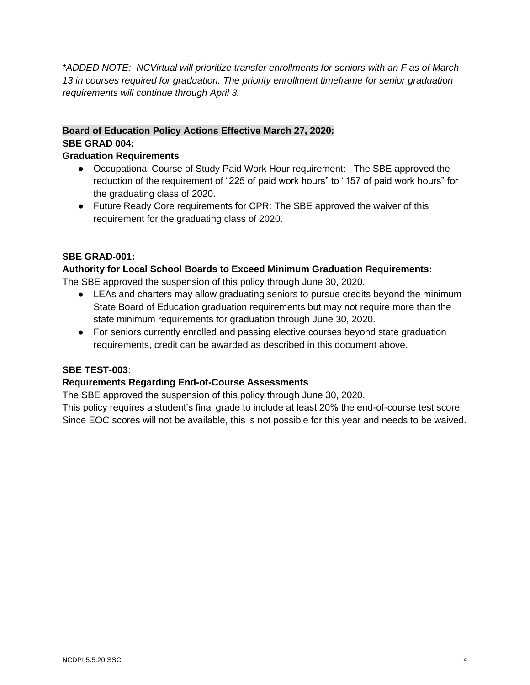*\*ADDED NOTE: NCVirtual will prioritize transfer enrollments for seniors with an F as of March 13 in courses required for graduation. The priority enrollment timeframe for senior graduation requirements will continue through April 3.* 

# **Board of Education Policy Actions Effective March 27, 2020: SBE GRAD 004:**

### **Graduation Requirements**

- Occupational Course of Study Paid Work Hour requirement: The SBE approved the reduction of the requirement of "225 of paid work hours" to "157 of paid work hours" for the graduating class of 2020.
- Future Ready Core requirements for CPR: The SBE approved the waiver of this requirement for the graduating class of 2020.

# **SBE GRAD-001:**

#### **Authority for Local School Boards to Exceed Minimum Graduation Requirements:**

The SBE approved the suspension of this policy through June 30, 2020.

- LEAs and charters may allow graduating seniors to pursue credits beyond the minimum State Board of Education graduation requirements but may not require more than the state minimum requirements for graduation through June 30, 2020.
- For seniors currently enrolled and passing elective courses beyond state graduation requirements, credit can be awarded as described in this document above.

#### **SBE TEST-003:**

#### **Requirements Regarding End-of-Course Assessments**

The SBE approved the suspension of this policy through June 30, 2020.

This policy requires a student's final grade to include at least 20% the end-of-course test score. Since EOC scores will not be available, this is not possible for this year and needs to be waived.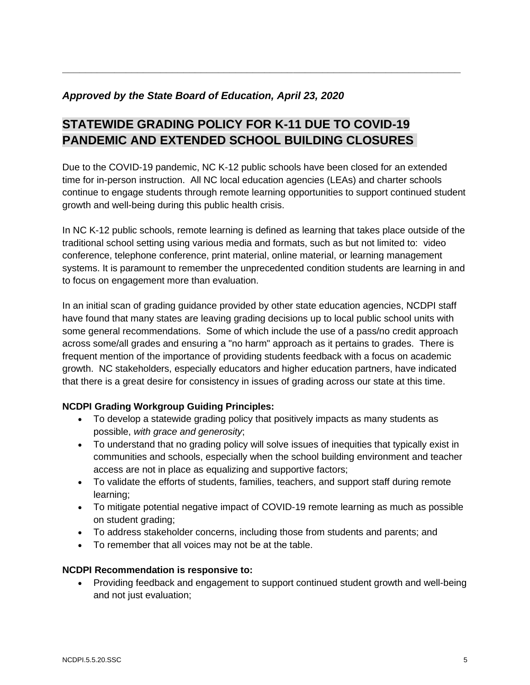# *Approved by the State Board of Education, April 23, 2020*

# **STATEWIDE GRADING POLICY FOR K-11 DUE TO COVID-19 PANDEMIC AND EXTENDED SCHOOL BUILDING CLOSURES**

Due to the COVID-19 pandemic, NC K-12 public schools have been closed for an extended time for in-person instruction. All NC local education agencies (LEAs) and charter schools continue to engage students through remote learning opportunities to support continued student growth and well-being during this public health crisis.

**\_\_\_\_\_\_\_\_\_\_\_\_\_\_\_\_\_\_\_\_\_\_\_\_\_\_\_\_\_\_\_\_\_\_\_\_\_\_\_\_\_\_\_\_\_\_\_\_\_\_\_\_\_\_\_\_\_\_\_\_\_\_\_\_\_\_\_\_\_**

In NC K-12 public schools, remote learning is defined as learning that takes place outside of the traditional school setting using various media and formats, such as but not limited to: video conference, telephone conference, print material, online material, or learning management systems. It is paramount to remember the unprecedented condition students are learning in and to focus on engagement more than evaluation.

In an initial scan of grading guidance provided by other state education agencies, NCDPI staff have found that many states are leaving grading decisions up to local public school units with some general recommendations. Some of which include the use of a pass/no credit approach across some/all grades and ensuring a "no harm" approach as it pertains to grades. There is frequent mention of the importance of providing students feedback with a focus on academic growth. NC stakeholders, especially educators and higher education partners, have indicated that there is a great desire for consistency in issues of grading across our state at this time.

# **NCDPI Grading Workgroup Guiding Principles:**

- To develop a statewide grading policy that positively impacts as many students as possible, *with grace and generosity*;
- To understand that no grading policy will solve issues of inequities that typically exist in communities and schools, especially when the school building environment and teacher access are not in place as equalizing and supportive factors;
- To validate the efforts of students, families, teachers, and support staff during remote learning;
- To mitigate potential negative impact of COVID-19 remote learning as much as possible on student grading;
- To address stakeholder concerns, including those from students and parents; and
- To remember that all voices may not be at the table.

# **NCDPI Recommendation is responsive to:**

• Providing feedback and engagement to support continued student growth and well-being and not just evaluation;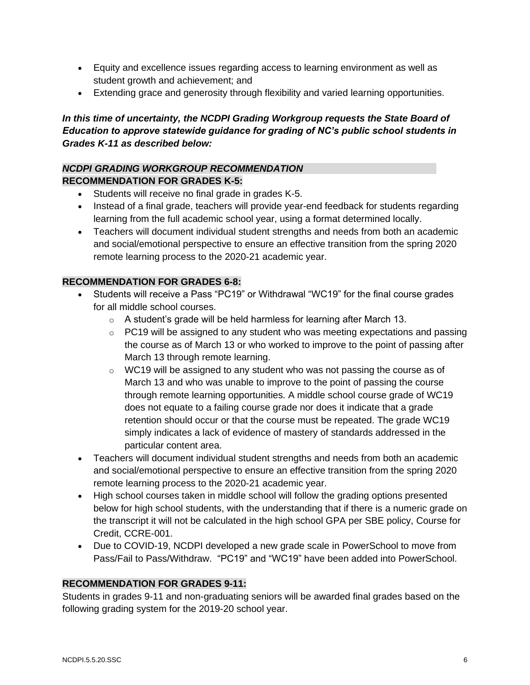- Equity and excellence issues regarding access to learning environment as well as student growth and achievement; and
- Extending grace and generosity through flexibility and varied learning opportunities.

# In this time of uncertainty, the NCDPI Grading Workgroup requests the State Board of *Education to approve statewide guidance for grading of NC's public school students in Grades K-11 as described below:*

### *NCDPI GRADING WORKGROUP RECOMMENDATION* **RECOMMENDATION FOR GRADES K-5:**

- Students will receive no final grade in grades K-5.
- Instead of a final grade, teachers will provide year-end feedback for students regarding learning from the full academic school year, using a format determined locally.
- Teachers will document individual student strengths and needs from both an academic and social/emotional perspective to ensure an effective transition from the spring 2020 remote learning process to the 2020-21 academic year.

#### **RECOMMENDATION FOR GRADES 6-8:**

- Students will receive a Pass "PC19" or Withdrawal "WC19" for the final course grades for all middle school courses.
	- $\circ$  A student's grade will be held harmless for learning after March 13.
	- $\circ$  PC19 will be assigned to any student who was meeting expectations and passing the course as of March 13 or who worked to improve to the point of passing after March 13 through remote learning.
	- $\circ$  WC19 will be assigned to any student who was not passing the course as of March 13 and who was unable to improve to the point of passing the course through remote learning opportunities. A middle school course grade of WC19 does not equate to a failing course grade nor does it indicate that a grade retention should occur or that the course must be repeated. The grade WC19 simply indicates a lack of evidence of mastery of standards addressed in the particular content area.
- Teachers will document individual student strengths and needs from both an academic and social/emotional perspective to ensure an effective transition from the spring 2020 remote learning process to the 2020-21 academic year.
- High school courses taken in middle school will follow the grading options presented below for high school students, with the understanding that if there is a numeric grade on the transcript it will not be calculated in the high school GPA per SBE policy, Course for Credit, CCRE-001.
- Due to COVID-19, NCDPI developed a new grade scale in PowerSchool to move from Pass/Fail to Pass/Withdraw. "PC19" and "WC19" have been added into PowerSchool.

#### **RECOMMENDATION FOR GRADES 9-11:**

Students in grades 9-11 and non-graduating seniors will be awarded final grades based on the following grading system for the 2019-20 school year.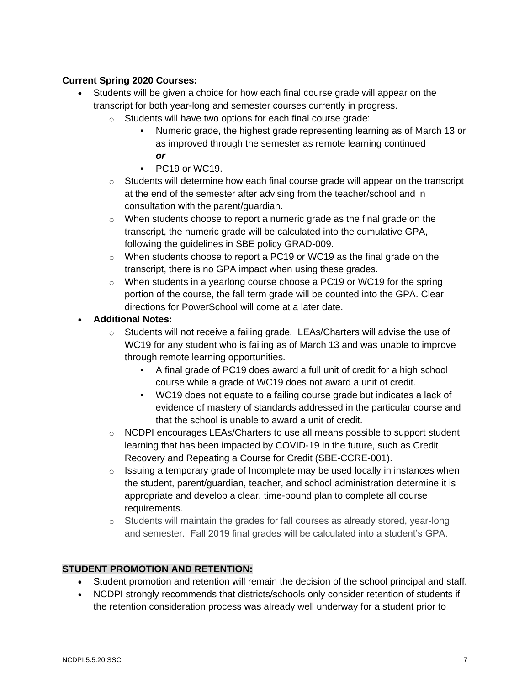# **Current Spring 2020 Courses:**

- Students will be given a choice for how each final course grade will appear on the transcript for both year-long and semester courses currently in progress.
	- o Students will have two options for each final course grade:
		- Numeric grade, the highest grade representing learning as of March 13 or as improved through the semester as remote learning continued *or*
		- PC19 or WC19.
	- o Students will determine how each final course grade will appear on the transcript at the end of the semester after advising from the teacher/school and in consultation with the parent/guardian.
	- $\circ$  When students choose to report a numeric grade as the final grade on the transcript, the numeric grade will be calculated into the cumulative GPA, following the guidelines in SBE policy GRAD-009.
	- o When students choose to report a PC19 or WC19 as the final grade on the transcript, there is no GPA impact when using these grades.
	- $\circ$  When students in a yearlong course choose a PC19 or WC19 for the spring portion of the course, the fall term grade will be counted into the GPA. Clear directions for PowerSchool will come at a later date.

#### • **Additional Notes:**

- o Students will not receive a failing grade. LEAs/Charters will advise the use of WC19 for any student who is failing as of March 13 and was unable to improve through remote learning opportunities.
	- A final grade of PC19 does award a full unit of credit for a high school course while a grade of WC19 does not award a unit of credit.
	- WC19 does not equate to a failing course grade but indicates a lack of evidence of mastery of standards addressed in the particular course and that the school is unable to award a unit of credit.
- o NCDPI encourages LEAs/Charters to use all means possible to support student learning that has been impacted by COVID-19 in the future, such as Credit Recovery and Repeating a Course for Credit (SBE-CCRE-001).
- $\circ$  Issuing a temporary grade of Incomplete may be used locally in instances when the student, parent/guardian, teacher, and school administration determine it is appropriate and develop a clear, time-bound plan to complete all course requirements.
- o Students will maintain the grades for fall courses as already stored, year-long and semester. Fall 2019 final grades will be calculated into a student's GPA.

# **STUDENT PROMOTION AND RETENTION:**

- Student promotion and retention will remain the decision of the school principal and staff.
- NCDPI strongly recommends that districts/schools only consider retention of students if the retention consideration process was already well underway for a student prior to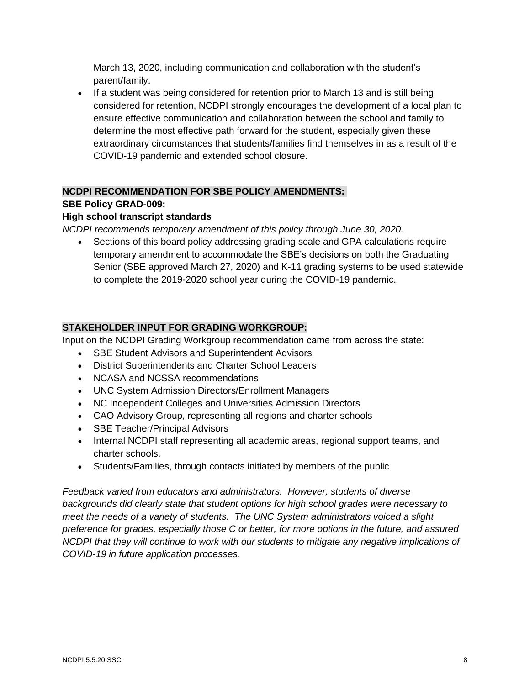March 13, 2020, including communication and collaboration with the student's parent/family.

• If a student was being considered for retention prior to March 13 and is still being considered for retention, NCDPI strongly encourages the development of a local plan to ensure effective communication and collaboration between the school and family to determine the most effective path forward for the student, especially given these extraordinary circumstances that students/families find themselves in as a result of the COVID-19 pandemic and extended school closure.

# **NCDPI RECOMMENDATION FOR SBE POLICY AMENDMENTS:**

#### **SBE Policy GRAD-009:**

#### **High school transcript standards**

*NCDPI recommends temporary amendment of this policy through June 30, 2020.*

• Sections of this board policy addressing grading scale and GPA calculations require temporary amendment to accommodate the SBE's decisions on both the Graduating Senior (SBE approved March 27, 2020) and K-11 grading systems to be used statewide to complete the 2019-2020 school year during the COVID-19 pandemic.

#### **STAKEHOLDER INPUT FOR GRADING WORKGROUP:**

Input on the NCDPI Grading Workgroup recommendation came from across the state:

- **SBE Student Advisors and Superintendent Advisors**
- District Superintendents and Charter School Leaders
- NCASA and NCSSA recommendations
- UNC System Admission Directors/Enrollment Managers
- NC Independent Colleges and Universities Admission Directors
- CAO Advisory Group, representing all regions and charter schools
- SBE Teacher/Principal Advisors
- Internal NCDPI staff representing all academic areas, regional support teams, and charter schools.
- Students/Families, through contacts initiated by members of the public

*Feedback varied from educators and administrators. However, students of diverse backgrounds did clearly state that student options for high school grades were necessary to meet the needs of a variety of students. The UNC System administrators voiced a slight preference for grades, especially those C or better, for more options in the future, and assured NCDPI that they will continue to work with our students to mitigate any negative implications of COVID-19 in future application processes.*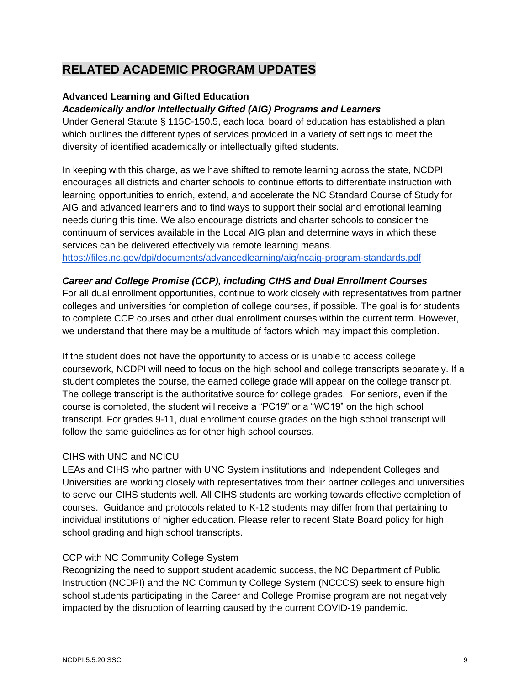# **RELATED ACADEMIC PROGRAM UPDATES**

#### **Advanced Learning and Gifted Education**

#### *Academically and/or Intellectually Gifted (AIG) Programs and Learners*

Under General Statute § 115C-150.5, each local board of education has established a plan which outlines the different types of services provided in a variety of settings to meet the diversity of identified academically or intellectually gifted students.

In keeping with this charge, as we have shifted to remote learning across the state, NCDPI encourages all districts and charter schools to continue efforts to differentiate instruction with learning opportunities to enrich, extend, and accelerate the NC Standard Course of Study for AIG and advanced learners and to find ways to support their social and emotional learning needs during this time. We also encourage districts and charter schools to consider the continuum of services available in the Local AIG plan and determine ways in which these services can be delivered effectively via remote learning means. <https://files.nc.gov/dpi/documents/advancedlearning/aig/ncaig-program-standards.pdf>

#### *Career and College Promise (CCP), including CIHS and Dual Enrollment Courses*

For all dual enrollment opportunities, continue to work closely with representatives from partner colleges and universities for completion of college courses, if possible. The goal is for students to complete CCP courses and other dual enrollment courses within the current term. However, we understand that there may be a multitude of factors which may impact this completion.

If the student does not have the opportunity to access or is unable to access college coursework, NCDPI will need to focus on the high school and college transcripts separately. If a student completes the course, the earned college grade will appear on the college transcript. The college transcript is the authoritative source for college grades. For seniors, even if the course is completed, the student will receive a "PC19" or a "WC19" on the high school transcript. For grades 9-11, dual enrollment course grades on the high school transcript will follow the same guidelines as for other high school courses.

#### CIHS with UNC and NCICU

LEAs and CIHS who partner with UNC System institutions and Independent Colleges and Universities are working closely with representatives from their partner colleges and universities to serve our CIHS students well. All CIHS students are working towards effective completion of courses. Guidance and protocols related to K-12 students may differ from that pertaining to individual institutions of higher education. Please refer to recent State Board policy for high school grading and high school transcripts.

#### CCP with NC Community College System

Recognizing the need to support student academic success, the NC Department of Public Instruction (NCDPI) and the NC Community College System (NCCCS) seek to ensure high school students participating in the Career and College Promise program are not negatively impacted by the disruption of learning caused by the current COVID-19 pandemic.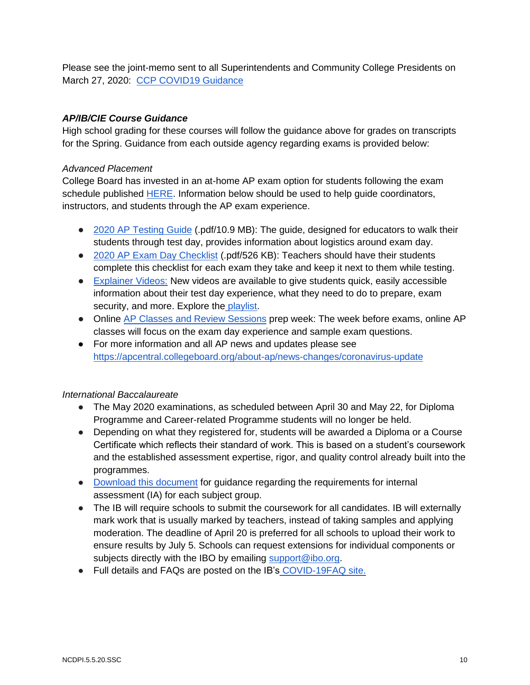Please see the joint-memo sent to all Superintendents and Community College Presidents on March 27, 2020: [CCP COVID19 Guidance](https://files.nc.gov/dpi/documents/advancedlearning/ccp.covid19guidance.3.27.20.final_.pdf)

### *AP/IB/CIE Course Guidance*

High school grading for these courses will follow the guidance above for grades on transcripts for the Spring. Guidance from each outside agency regarding exams is provided below:

#### *Advanced Placement*

College Board has invested in an at-home AP exam option for students following the exam schedule published [HERE.](https://apcoronavirusupdates.collegeboard.org/educators/taking-the-exams/ap-exam-schedule) Information below should be used to help guide coordinators, instructors, and students through the AP exam experience.

- [2020 AP Testing Guide](https://lnks.gd/l/eyJhbGciOiJIUzI1NiJ9.eyJidWxsZXRpbl9saW5rX2lkIjoxMDAsInVyaSI6ImJwMjpjbGljayIsImJ1bGxldGluX2lkIjoiMjAyMDA0MjkuMjA4MTgxMjEiLCJ1cmwiOiJodHRwczovL2NsaWNrLmUuY29sbGVnZWJvYXJkLm9yZy8_cXM9ZjVjMTI0YjQyMGZjNGFkOWY0ZTk3MzQ0YWQ3Y2E3N2YyZDU5YThkNjUxMDNhZmVkNmM0MzFjODU2ZGJhZDZlNjllODgzNzFkYjAyNTM4NWM4YmFkNGEzMmIzMmFlYzhjYzUzODM1NTE2ZmYyODJhZiJ9.kvjchUs-vMm4ZPacZ5gkiCkbWqB156l6_Mi7PFeal5g/br/78003132439-l) (.pdf/10.9 MB): The guide, designed for educators to walk their students through test day, provides information about logistics around exam day.
- [2020 AP Exam Day Checklist](https://lnks.gd/l/eyJhbGciOiJIUzI1NiJ9.eyJidWxsZXRpbl9saW5rX2lkIjoxMDEsInVyaSI6ImJwMjpjbGljayIsImJ1bGxldGluX2lkIjoiMjAyMDA0MjkuMjA4MTgxMjEiLCJ1cmwiOiJodHRwczovL2NsaWNrLmUuY29sbGVnZWJvYXJkLm9yZy8_cXM9ZjVjMTI0YjQyMGZjNGFkOWY3OTg1NzQ0MzVkNTAzMjNiYTQ0ZDE1NTQyNmVlM2Q2MTEwMTA2OTFhNmEzMzFmYmMxNjk5YWI3OTc2MjExZmMyMjgxNjBmNjIyMjc4MDMyNWViODU5YzIyYTNkZDAxYSJ9.xlawAeHL5kZ_4PxkzPdauwnRr2fe04aadczg2VkoVqA/br/78003132439-l) (.pdf/526 KB): Teachers should have their students complete this checklist for each exam they take and keep it next to them while testing.
- [Explainer Videos:](https://lnks.gd/l/eyJhbGciOiJIUzI1NiJ9.eyJidWxsZXRpbl9saW5rX2lkIjoxMDIsInVyaSI6ImJwMjpjbGljayIsImJ1bGxldGluX2lkIjoiMjAyMDA0MjkuMjA4MTgxMjEiLCJ1cmwiOiJodHRwczovL2NsaWNrLmUuY29sbGVnZWJvYXJkLm9yZy8_cXM9ZjVjMTI0YjQyMGZjNGFkOTFhOTA4YmQ4NWExNDAwOGFmMDc2M2U5NWNjNDE3NjhiNGY4OWFmOWU4N2M4MmY4NDdkM2E3MWYwZGUyOGJhMzVlODZkMmI0NzA5YzczNGMwYzQ3MjQxZDc2MTdiM2VhMiJ9.eCgJ5GJJeSJ8EgmgY3_K3u5hRiR6oHj_OiSwg5_2t1w/br/78003132439-l) New videos are available to give students quick, easily accessible information about their test day experience, what they need to do to prepare, exam security, and more. Explore the [playlist.](https://lnks.gd/l/eyJhbGciOiJIUzI1NiJ9.eyJidWxsZXRpbl9saW5rX2lkIjoxMDMsInVyaSI6ImJwMjpjbGljayIsImJ1bGxldGluX2lkIjoiMjAyMDA0MjkuMjA4MTgxMjEiLCJ1cmwiOiJodHRwczovL2NsaWNrLmUuY29sbGVnZWJvYXJkLm9yZy8_cXM9ZjVjMTI0YjQyMGZjNGFkOTFhOTA4YmQ4NWExNDAwOGFmMDc2M2U5NWNjNDE3NjhiNGY4OWFmOWU4N2M4MmY4NDdkM2E3MWYwZGUyOGJhMzVlODZkMmI0NzA5YzczNGMwYzQ3MjQxZDc2MTdiM2VhMiJ9.x-OoxR4CWLSusgIe8_Yv12HW2kDtwUN2gcTzrZxRVxo/br/78003132439-l)
- Online [AP Classes and Review Sessions](https://lnks.gd/l/eyJhbGciOiJIUzI1NiJ9.eyJidWxsZXRpbl9saW5rX2lkIjoxMDcsInVyaSI6ImJwMjpjbGljayIsImJ1bGxldGluX2lkIjoiMjAyMDA0MjkuMjA4MTgxMjEiLCJ1cmwiOiJodHRwczovL2NsaWNrLmUuY29sbGVnZWJvYXJkLm9yZy8_cXM9ZjVjMTI0YjQyMGZjNGFkOTE0ZTk1ZWRhYzdhOWI5MTc0NDk5MGU5Mjg2NWQwZWJiMmRkZWI4ZTBkZWU0YzI1YTQzOTdmZTk3OWRiZGM4YWYzYzZlMzA5NDcyODk5NWQwMGMzOWViNDA2MTMwYjhkMyJ9.C2221-fnNW4nJ99JP57Lr4O3G6Vuwa3H1t798jmaKN0/br/78003132439-l) prep week: The week before exams, online AP classes will focus on the exam day experience and sample exam questions.
- For more information and all AP news and updates please see <https://apcentral.collegeboard.org/about-ap/news-changes/coronavirus-update>

#### *International Baccalaureate*

- The May 2020 examinations, as scheduled between April 30 and May 22, for Diploma Programme and Career-related Programme students will no longer be held.
- Depending on what they registered for, students will be awarded a Diploma or a Course Certificate which reflects their standard of work. This is based on a student's coursework and the established assessment expertise, rigor, and quality control already built into the programmes.
- [Download this document](https://www.ibo.org/globalassets/news-assets/coronavirus/guidance-internal-assessment-may2020-dpcp-en.pdf) for guidance regarding the requirements for internal assessment (IA) for each subject group.
- The IB will require schools to submit the coursework for all candidates. IB will externally mark work that is usually marked by teachers, instead of taking samples and applying moderation. The deadline of April 20 is preferred for all schools to upload their work to ensure results by July 5. Schools can request extensions for individual components or subjects directly with the IBO by emailing [support@ibo.org.](mailto:support@ibo.org)
- Full details and FAQs are posted on the IB's [COVID-19FAQ site.](https://www.ibo.org/news/news-about-the-ib/covid-19-coronavirus-updates#examinations)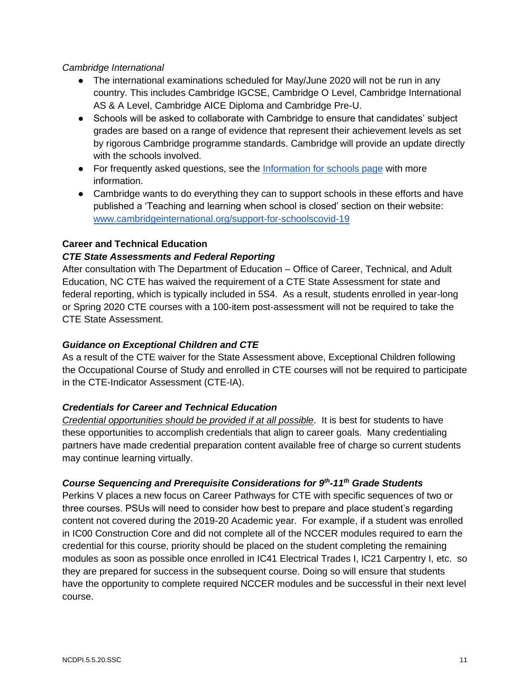#### *Cambridge International*

- The international examinations scheduled for May/June 2020 will not be run in any country. This includes Cambridge IGCSE, Cambridge O Level, Cambridge International AS & A Level, Cambridge AICE Diploma and Cambridge Pre-U.
- Schools will be asked to collaborate with Cambridge to ensure that candidates' subject grades are based on a range of evidence that represent their achievement levels as set by rigorous Cambridge programme standards. Cambridge will provide an update directly with the schools involved.
- For frequently asked questions, see the [Information for schools page](https://www.cambridgeinternational.org/covid/) with more information.
- Cambridge wants to do everything they can to support schools in these efforts and have published a 'Teaching and learning when school is closed' section on their website: [www.cambridgeinternational.org/support-for-schoolscovid-19](http://www.cambridgeinternational.org/support-for-schoolscovid-19)

#### **Career and Technical Education**

#### *CTE State Assessments and Federal Reporting*

After consultation with The Department of Education – Office of Career, Technical, and Adult Education, NC CTE has waived the requirement of a CTE State Assessment for state and federal reporting, which is typically included in 5S4. As a result, students enrolled in year-long or Spring 2020 CTE courses with a 100-item post-assessment will not be required to take the CTE State Assessment.

#### *Guidance on Exceptional Children and CTE*

As a result of the CTE waiver for the State Assessment above, Exceptional Children following the Occupational Course of Study and enrolled in CTE courses will not be required to participate in the CTE-Indicator Assessment (CTE-IA).

#### *Credentials for Career and Technical Education*

*Credential opportunities should be provided if at all possible*. It is best for students to have these opportunities to accomplish credentials that align to career goals. Many credentialing partners have made credential preparation content available free of charge so current students may continue learning virtually.

#### *Course Sequencing and Prerequisite Considerations for 9th -11th Grade Students*

Perkins V places a new focus on Career Pathways for CTE with specific sequences of two or three courses. PSUs will need to consider how best to prepare and place student's regarding content not covered during the 2019-20 Academic year. For example, if a student was enrolled in IC00 Construction Core and did not complete all of the NCCER modules required to earn the credential for this course, priority should be placed on the student completing the remaining modules as soon as possible once enrolled in IC41 Electrical Trades I, IC21 Carpentry I, etc. so they are prepared for success in the subsequent course. Doing so will ensure that students have the opportunity to complete required NCCER modules and be successful in their next level course.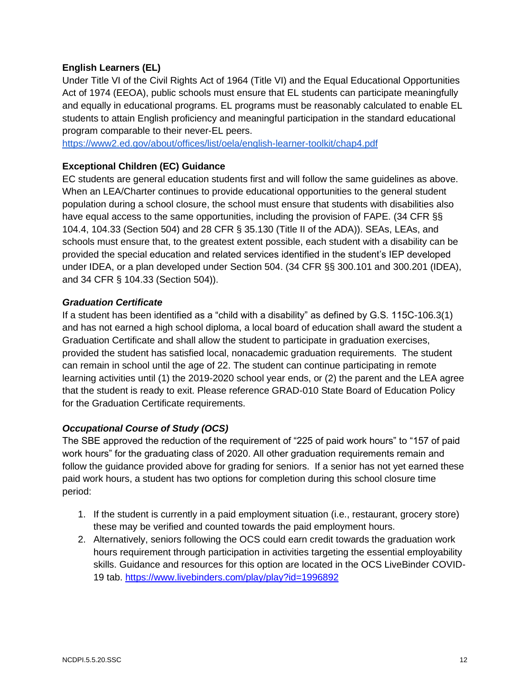#### **English Learners (EL)**

Under Title VI of the Civil Rights Act of 1964 (Title VI) and the Equal Educational Opportunities Act of 1974 (EEOA), public schools must ensure that EL students can participate meaningfully and equally in educational programs. EL programs must be reasonably calculated to enable EL students to attain English proficiency and meaningful participation in the standard educational program comparable to their never-EL peers.

<https://www2.ed.gov/about/offices/list/oela/english-learner-toolkit/chap4.pdf>

#### **Exceptional Children (EC) Guidance**

EC students are general education students first and will follow the same guidelines as above. When an LEA/Charter continues to provide educational opportunities to the general student population during a school closure, the school must ensure that students with disabilities also have equal access to the same opportunities, including the provision of FAPE. (34 CFR §§ 104.4, 104.33 (Section 504) and 28 CFR § 35.130 (Title II of the ADA)). SEAs, LEAs, and schools must ensure that, to the greatest extent possible, each student with a disability can be provided the special education and related services identified in the student's IEP developed under IDEA, or a plan developed under Section 504. (34 CFR §§ 300.101 and 300.201 (IDEA), and 34 CFR § 104.33 (Section 504)).

#### *Graduation Certificate*

If a student has been identified as a "child with a disability" as defined by G.S. 115C-106.3(1) and has not earned a high school diploma, a local board of education shall award the student a Graduation Certificate and shall allow the student to participate in graduation exercises, provided the student has satisfied local, nonacademic graduation requirements. The student can remain in school until the age of 22. The student can continue participating in remote learning activities until (1) the 2019-2020 school year ends, or (2) the parent and the LEA agree that the student is ready to exit. Please reference GRAD-010 State Board of Education Policy for the Graduation Certificate requirements.

#### *Occupational Course of Study (OCS)*

The SBE approved the reduction of the requirement of "225 of paid work hours" to "157 of paid work hours" for the graduating class of 2020. All other graduation requirements remain and follow the guidance provided above for grading for seniors. If a senior has not yet earned these paid work hours, a student has two options for completion during this school closure time period:

- 1. If the student is currently in a paid employment situation (i.e., restaurant, grocery store) these may be verified and counted towards the paid employment hours.
- 2. Alternatively, seniors following the OCS could earn credit towards the graduation work hours requirement through participation in activities targeting the essential employability skills. Guidance and resources for this option are located in the OCS LiveBinder COVID-19 tab.<https://www.livebinders.com/play/play?id=1996892>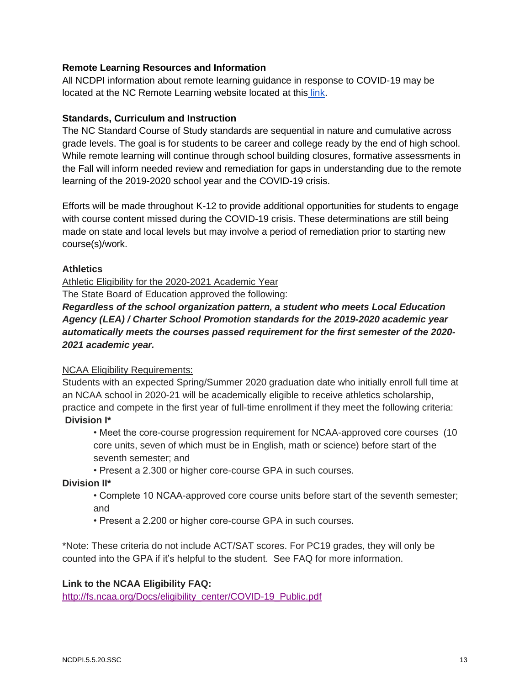#### **Remote Learning Resources and Information**

All NCDPI information about remote learning guidance in response to COVID-19 may be located at the NC Remote Learning website located at this [link.](https://sites.google.com/dpi.nc.gov/remote-learning-resources/home)

#### **Standards, Curriculum and Instruction**

The NC Standard Course of Study standards are sequential in nature and cumulative across grade levels. The goal is for students to be career and college ready by the end of high school. While remote learning will continue through school building closures, formative assessments in the Fall will inform needed review and remediation for gaps in understanding due to the remote learning of the 2019-2020 school year and the COVID-19 crisis.

Efforts will be made throughout K-12 to provide additional opportunities for students to engage with course content missed during the COVID-19 crisis. These determinations are still being made on state and local levels but may involve a period of remediation prior to starting new course(s)/work.

#### **Athletics**

Athletic Eligibility for the 2020-2021 Academic Year

The State Board of Education approved the following:

*Regardless of the school organization pattern, a student who meets Local Education Agency (LEA) / Charter School Promotion standards for the 2019-2020 academic year automatically meets the courses passed requirement for the first semester of the 2020- 2021 academic year.*

#### NCAA Eligibility Requirements:

Students with an expected Spring/Summer 2020 graduation date who initially enroll full time at an NCAA school in 2020-21 will be academically eligible to receive athletics scholarship, practice and compete in the first year of full-time enrollment if they meet the following criteria: **Division I\***

• Meet the core-course progression requirement for NCAA-approved core courses (10 core units, seven of which must be in English, math or science) before start of the seventh semester; and

• Present a 2.300 or higher core-course GPA in such courses.

#### **Division II\***

- Complete 10 NCAA-approved core course units before start of the seventh semester; and
- Present a 2.200 or higher core-course GPA in such courses.

\*Note: These criteria do not include ACT/SAT scores. For PC19 grades, they will only be counted into the GPA if it's helpful to the student. See FAQ for more information.

#### **Link to the NCAA Eligibility FAQ:**

[http://fs.ncaa.org/Docs/eligibility\\_center/COVID-19\\_Public.pdf](http://fs.ncaa.org/Docs/eligibility_center/COVID-19_Public.pdf)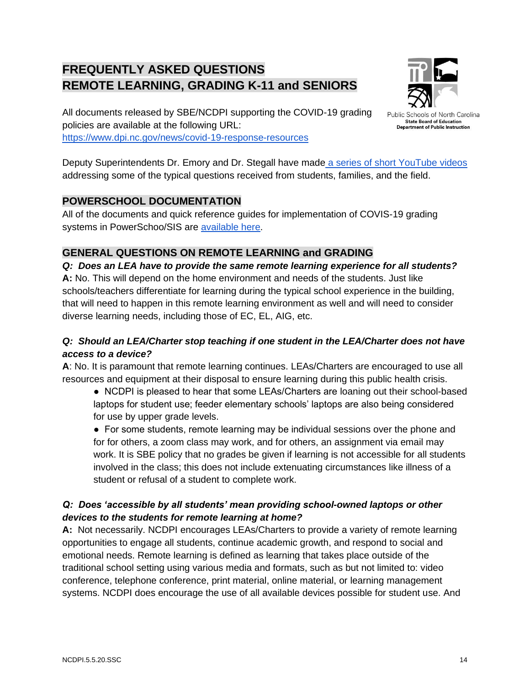# **FREQUENTLY ASKED QUESTIONS REMOTE LEARNING, GRADING K-11 and SENIORS**



All documents released by SBE/NCDPI supporting the COVID-19 grading policies are available at the following URL: <https://www.dpi.nc.gov/news/covid-19-response-resources>

Public Schools of North Carolina **State Board of Education Department of Public Instruction** 

Deputy Superintendents Dr. Emory and Dr. Stegall have made [a series of short YouTube videos](https://www.youtube.com/playlist?list=PL6JYMm0YidCleq691jnN2oifVMjHflKWR) addressing some of the typical questions received from students, families, and the field.

# **POWERSCHOOL DOCUMENTATION**

All of the documents and quick reference guides for implementation of COVIS-19 grading systems in PowerSchoo/SIS are [available here.](https://www.dpi.nc.gov/educators/home-base/powerschool-sis/nc-sis-resources#covid-19-guidance)

# **GENERAL QUESTIONS ON REMOTE LEARNING and GRADING**

*Q: Does an LEA have to provide the same remote learning experience for all students?* **A:** No. This will depend on the home environment and needs of the students. Just like schools/teachers differentiate for learning during the typical school experience in the building, that will need to happen in this remote learning environment as well and will need to consider diverse learning needs, including those of EC, EL, AIG, etc.

# *Q: Should an LEA/Charter stop teaching if one student in the LEA/Charter does not have access to a device?*

**A**: No. It is paramount that remote learning continues. LEAs/Charters are encouraged to use all resources and equipment at their disposal to ensure learning during this public health crisis.

● NCDPI is pleased to hear that some LEAs/Charters are loaning out their school-based laptops for student use; feeder elementary schools' laptops are also being considered for use by upper grade levels.

● For some students, remote learning may be individual sessions over the phone and for for others, a zoom class may work, and for others, an assignment via email may work. It is SBE policy that no grades be given if learning is not accessible for all students involved in the class; this does not include extenuating circumstances like illness of a student or refusal of a student to complete work.

# *Q: Does 'accessible by all students' mean providing school-owned laptops or other devices to the students for remote learning at home?*

**A:** Not necessarily. NCDPI encourages LEAs/Charters to provide a variety of remote learning opportunities to engage all students, continue academic growth, and respond to social and emotional needs. Remote learning is defined as learning that takes place outside of the traditional school setting using various media and formats, such as but not limited to: video conference, telephone conference, print material, online material, or learning management systems. NCDPI does encourage the use of all available devices possible for student use. And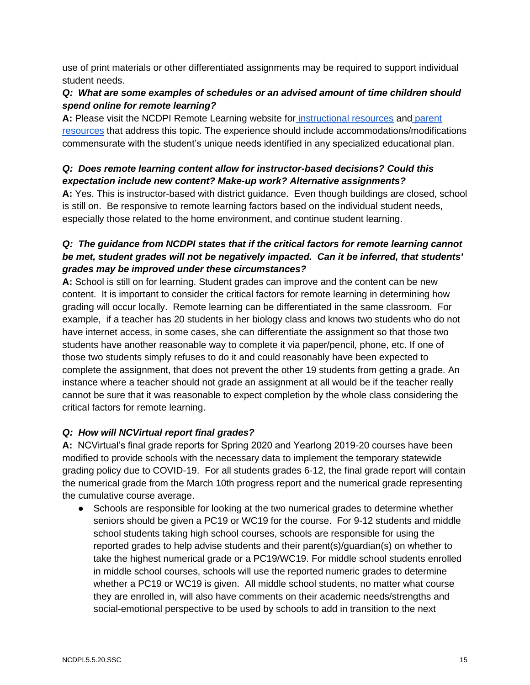use of print materials or other differentiated assignments may be required to support individual student needs.

# *Q: What are some examples of schedules or an advised amount of time children should spend online for remote learning?*

**A:** Please visit the NCDPI Remote Learning website for [instructional resources](https://sites.google.com/dpi.nc.gov/remote-learning-resources/home) and [parent](https://sites.google.com/dpi.nc.gov/remote-learning-resources/home/parent-resources)  [resources](https://sites.google.com/dpi.nc.gov/remote-learning-resources/home/parent-resources) that address this topic. The experience should include accommodations/modifications commensurate with the student's unique needs identified in any specialized educational plan.

# *Q: Does remote learning content allow for instructor-based decisions? Could this expectation include new content? Make-up work? Alternative assignments?*

**A:** Yes. This is instructor-based with district guidance. Even though buildings are closed, school is still on. Be responsive to remote learning factors based on the individual student needs, especially those related to the home environment, and continue student learning.

# *Q: The guidance from NCDPI states that if the critical factors for remote learning cannot be met, student grades will not be negatively impacted. Can it be inferred, that students' grades may be improved under these circumstances?*

**A:** School is still on for learning. Student grades can improve and the content can be new content. It is important to consider the critical factors for remote learning in determining how grading will occur locally. Remote learning can be differentiated in the same classroom. For example, if a teacher has 20 students in her biology class and knows two students who do not have internet access, in some cases, she can differentiate the assignment so that those two students have another reasonable way to complete it via paper/pencil, phone, etc. If one of those two students simply refuses to do it and could reasonably have been expected to complete the assignment, that does not prevent the other 19 students from getting a grade. An instance where a teacher should not grade an assignment at all would be if the teacher really cannot be sure that it was reasonable to expect completion by the whole class considering the critical factors for remote learning.

# *Q: How will NCVirtual report final grades?*

**A:** NCVirtual's final grade reports for Spring 2020 and Yearlong 2019-20 courses have been modified to provide schools with the necessary data to implement the temporary statewide grading policy due to COVID-19. For all students grades 6-12, the final grade report will contain the numerical grade from the March 10th progress report and the numerical grade representing the cumulative course average.

• Schools are responsible for looking at the two numerical grades to determine whether seniors should be given a PC19 or WC19 for the course. For 9-12 students and middle school students taking high school courses, schools are responsible for using the reported grades to help advise students and their parent(s)/guardian(s) on whether to take the highest numerical grade or a PC19/WC19. For middle school students enrolled in middle school courses, schools will use the reported numeric grades to determine whether a PC19 or WC19 is given. All middle school students, no matter what course they are enrolled in, will also have comments on their academic needs/strengths and social-emotional perspective to be used by schools to add in transition to the next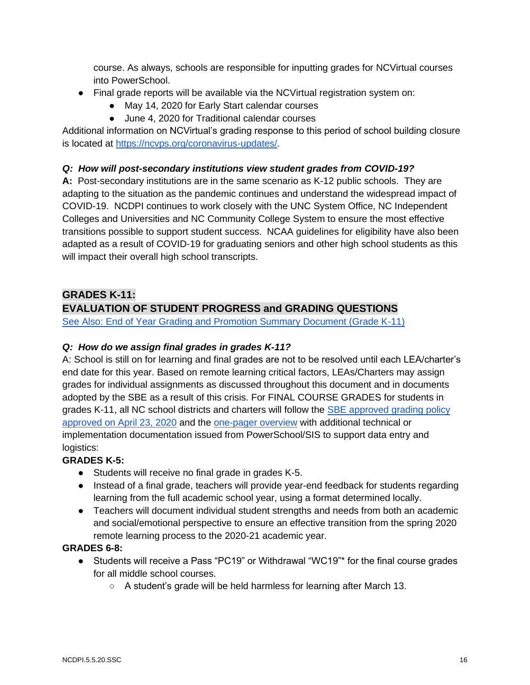course. As always, schools are responsible for inputting grades for NCVirtual courses into PowerSchool.

- Final grade reports will be available via the NCVirtual registration system on:
	- May 14, 2020 for Early Start calendar courses
	- June 4, 2020 for Traditional calendar courses

Additional information on NCVirtual's grading response to this period of school building closure is located at [https://ncvps.org/coronavirus-updates/.](https://ncvps.org/coronavirus-updates/)

### *Q: How will post-secondary institutions view student grades from COVID-19?*

**A:** Post-secondary institutions are in the same scenario as K-12 public schools. They are adapting to the situation as the pandemic continues and understand the widespread impact of COVID-19. NCDPI continues to work closely with the UNC System Office, NC Independent Colleges and Universities and NC Community College System to ensure the most effective transitions possible to support student success. NCAA guidelines for eligibility have also been adapted as a result of COVID-19 for graduating seniors and other high school students as this will impact their overall high school transcripts.

# **GRADES K-11:**

# **EVALUATION OF STUDENT PROGRESS and GRADING QUESTIONS**

[See Also: End of Year Grading and Promotion Summary Document \(Grade K-11\)](https://content.govdelivery.com/attachments/NCSBE/2020/04/23/file_attachments/1434773/FINAL-FAQ-One%20Pager-Student%20Grading%20and%20Promotion%204.23.20.pdf)

#### *Q: How do we assign final grades in grades K-11?*

A: School is still on for learning and final grades are not to be resolved until each LEA/charter's end date for this year. Based on remote learning critical factors, LEAs/Charters may assign grades for individual assignments as discussed throughout this document and in documents adopted by the SBE as a result of this crisis. For FINAL COURSE GRADES for students in grades K-11, all NC school districts and charters will follow the [SBE approved grading policy](https://content.govdelivery.com/attachments/NCSBE/2020/04/23/file_attachments/1434782/FINAL-SBE%20Recommendations%20GradingK-11-4.23.20.pdf)  [approved on April 23, 2020](https://content.govdelivery.com/attachments/NCSBE/2020/04/23/file_attachments/1434782/FINAL-SBE%20Recommendations%20GradingK-11-4.23.20.pdf) and the [one-pager overview](https://content.govdelivery.com/attachments/NCSBE/2020/04/23/file_attachments/1434773/FINAL-FAQ-One%20Pager-Student%20Grading%20and%20Promotion%204.23.20.pdf) with additional technical or implementation documentation issued from PowerSchool/SIS to support data entry and logistics:

#### **GRADES K-5:**

- Students will receive no final grade in grades K-5.
- Instead of a final grade, teachers will provide year-end feedback for students regarding learning from the full academic school year, using a format determined locally.
- Teachers will document individual student strengths and needs from both an academic and social/emotional perspective to ensure an effective transition from the spring 2020 remote learning process to the 2020-21 academic year.

#### **GRADES 6-8:**

- Students will receive a Pass "PC19" or Withdrawal "WC19"\* for the final course grades for all middle school courses.
	- A student's grade will be held harmless for learning after March 13.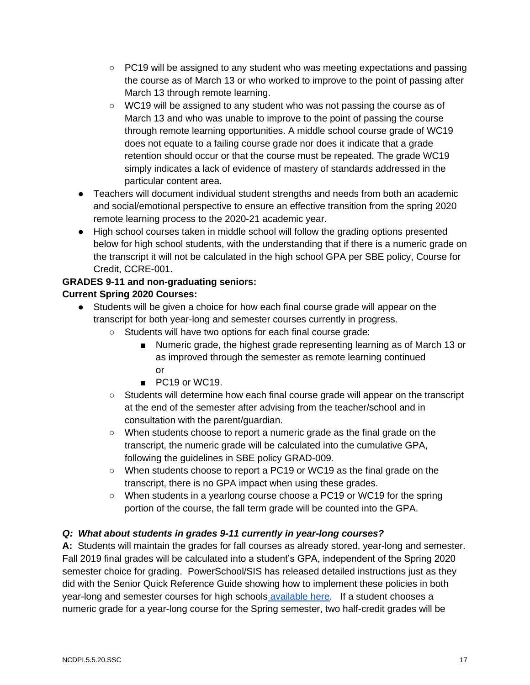- PC19 will be assigned to any student who was meeting expectations and passing the course as of March 13 or who worked to improve to the point of passing after March 13 through remote learning.
- WC19 will be assigned to any student who was not passing the course as of March 13 and who was unable to improve to the point of passing the course through remote learning opportunities. A middle school course grade of WC19 does not equate to a failing course grade nor does it indicate that a grade retention should occur or that the course must be repeated. The grade WC19 simply indicates a lack of evidence of mastery of standards addressed in the particular content area.
- Teachers will document individual student strengths and needs from both an academic and social/emotional perspective to ensure an effective transition from the spring 2020 remote learning process to the 2020-21 academic year.
- High school courses taken in middle school will follow the grading options presented below for high school students, with the understanding that if there is a numeric grade on the transcript it will not be calculated in the high school GPA per SBE policy, Course for Credit, CCRE-001.

#### **GRADES 9-11 and non-graduating seniors: Current Spring 2020 Courses:**

- Students will be given a choice for how each final course grade will appear on the transcript for both year-long and semester courses currently in progress.
	- Students will have two options for each final course grade:
		- Numeric grade, the highest grade representing learning as of March 13 or as improved through the semester as remote learning continued or
		- PC19 or WC19.
	- Students will determine how each final course grade will appear on the transcript at the end of the semester after advising from the teacher/school and in consultation with the parent/guardian.
	- When students choose to report a numeric grade as the final grade on the transcript, the numeric grade will be calculated into the cumulative GPA, following the guidelines in SBE policy GRAD-009.
	- When students choose to report a PC19 or WC19 as the final grade on the transcript, there is no GPA impact when using these grades.
	- When students in a yearlong course choose a PC19 or WC19 for the spring portion of the course, the fall term grade will be counted into the GPA.

# *Q: What about students in grades 9-11 currently in year-long courses?*

**A:** Students will maintain the grades for fall courses as already stored, year-long and semester. Fall 2019 final grades will be calculated into a student's GPA, independent of the Spring 2020 semester choice for grading. PowerSchool/SIS has released detailed instructions just as they did with the Senior Quick Reference Guide showing how to implement these policies in both year-long and semester courses for high schools [available here.](https://www.dpi.nc.gov/educators/home-base/powerschool-sis/nc-sis-resources#covid-19-guidance) If a student chooses a numeric grade for a year-long course for the Spring semester, two half-credit grades will be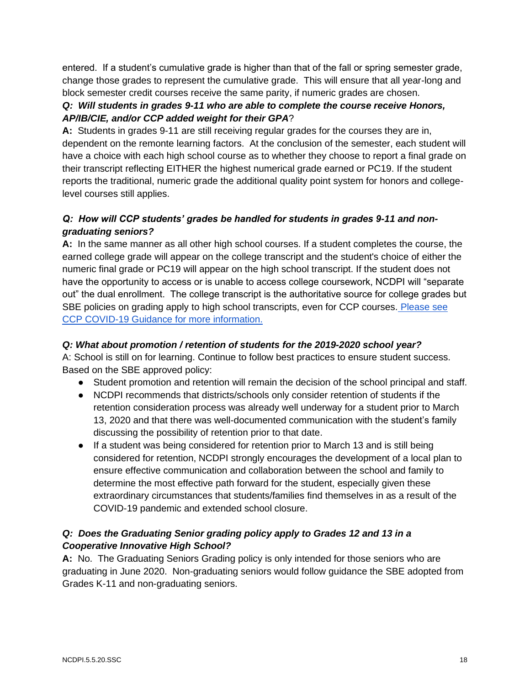entered. If a student's cumulative grade is higher than that of the fall or spring semester grade, change those grades to represent the cumulative grade. This will ensure that all year-long and block semester credit courses receive the same parity, if numeric grades are chosen.

# *Q: Will students in grades 9-11 who are able to complete the course receive Honors, AP/IB/CIE, and/or CCP added weight for their GPA*?

**A:** Students in grades 9-11 are still receiving regular grades for the courses they are in, dependent on the remonte learning factors. At the conclusion of the semester, each student will have a choice with each high school course as to whether they choose to report a final grade on their transcript reflecting EITHER the highest numerical grade earned or PC19. If the student reports the traditional, numeric grade the additional quality point system for honors and collegelevel courses still applies.

# *Q: How will CCP students' grades be handled for students in grades 9-11 and nongraduating seniors?*

**A:** In the same manner as all other high school courses. If a student completes the course, the earned college grade will appear on the college transcript and the student's choice of either the numeric final grade or PC19 will appear on the high school transcript. If the student does not have the opportunity to access or is unable to access college coursework, NCDPI will "separate out" the dual enrollment. The college transcript is the authoritative source for college grades but SBE policies on grading apply to high school transcripts, even for CCP courses. [Please see](https://files.nc.gov/dpi/documents/advancedlearning/ccp.covid19guidance.3.27.20.final_.pdf)  [CCP COVID-19 Guidance for more information.](https://files.nc.gov/dpi/documents/advancedlearning/ccp.covid19guidance.3.27.20.final_.pdf)

# *Q: What about promotion / retention of students for the 2019-2020 school year?*

A: School is still on for learning. Continue to follow best practices to ensure student success. Based on the SBE approved policy:

- Student promotion and retention will remain the decision of the school principal and staff.
- NCDPI recommends that districts/schools only consider retention of students if the retention consideration process was already well underway for a student prior to March 13, 2020 and that there was well-documented communication with the student's family discussing the possibility of retention prior to that date.
- If a student was being considered for retention prior to March 13 and is still being considered for retention, NCDPI strongly encourages the development of a local plan to ensure effective communication and collaboration between the school and family to determine the most effective path forward for the student, especially given these extraordinary circumstances that students/families find themselves in as a result of the COVID-19 pandemic and extended school closure.

# *Q: Does the Graduating Senior grading policy apply to Grades 12 and 13 in a Cooperative Innovative High School?*

**A:** No. The Graduating Seniors Grading policy is only intended for those seniors who are graduating in June 2020. Non-graduating seniors would follow guidance the SBE adopted from Grades K-11 and non-graduating seniors.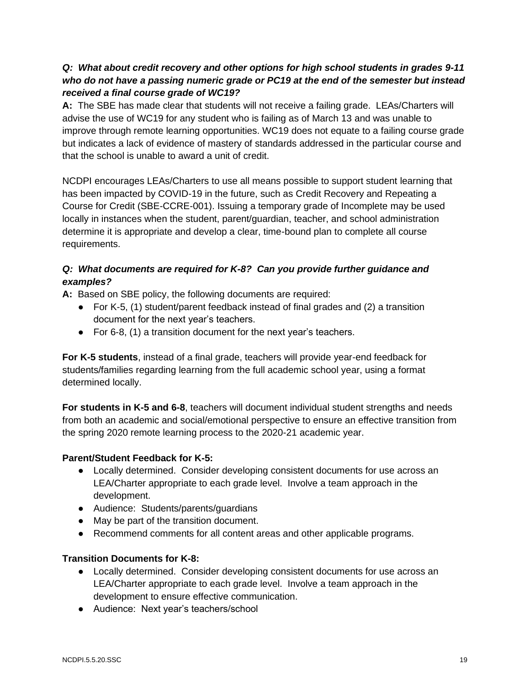# *Q: What about credit recovery and other options for high school students in grades 9-11 who do not have a passing numeric grade or PC19 at the end of the semester but instead received a final course grade of WC19?*

**A:** The SBE has made clear that students will not receive a failing grade. LEAs/Charters will advise the use of WC19 for any student who is failing as of March 13 and was unable to improve through remote learning opportunities. WC19 does not equate to a failing course grade but indicates a lack of evidence of mastery of standards addressed in the particular course and that the school is unable to award a unit of credit.

NCDPI encourages LEAs/Charters to use all means possible to support student learning that has been impacted by COVID-19 in the future, such as Credit Recovery and Repeating a Course for Credit (SBE-CCRE-001). Issuing a temporary grade of Incomplete may be used locally in instances when the student, parent/guardian, teacher, and school administration determine it is appropriate and develop a clear, time-bound plan to complete all course requirements.

# *Q: What documents are required for K-8? Can you provide further guidance and examples?*

**A:** Based on SBE policy, the following documents are required:

- For K-5, (1) student/parent feedback instead of final grades and (2) a transition document for the next year's teachers.
- For 6-8, (1) a transition document for the next year's teachers.

**For K-5 students**, instead of a final grade, teachers will provide year-end feedback for students/families regarding learning from the full academic school year, using a format determined locally.

**For students in K-5 and 6-8**, teachers will document individual student strengths and needs from both an academic and social/emotional perspective to ensure an effective transition from the spring 2020 remote learning process to the 2020-21 academic year.

# **Parent/Student Feedback for K-5:**

- Locally determined. Consider developing consistent documents for use across an LEA/Charter appropriate to each grade level. Involve a team approach in the development.
- Audience: Students/parents/guardians
- May be part of the transition document.
- Recommend comments for all content areas and other applicable programs.

# **Transition Documents for K-8:**

- Locally determined. Consider developing consistent documents for use across an LEA/Charter appropriate to each grade level. Involve a team approach in the development to ensure effective communication.
- Audience: Next year's teachers/school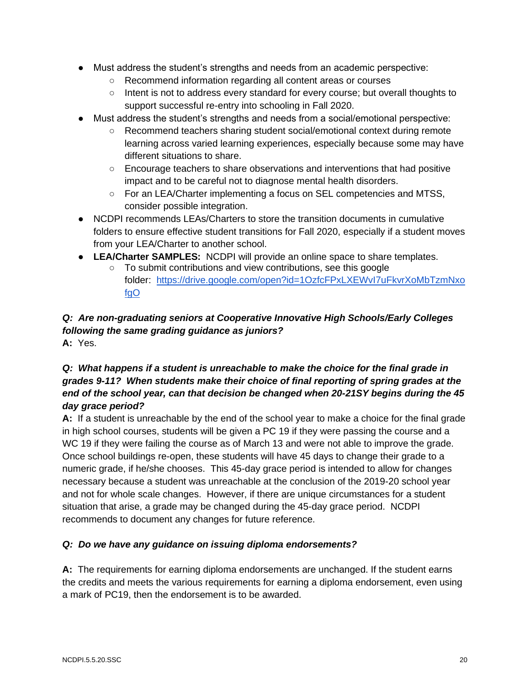- Must address the student's strengths and needs from an academic perspective:
	- Recommend information regarding all content areas or courses
	- Intent is not to address every standard for every course; but overall thoughts to support successful re-entry into schooling in Fall 2020.
- Must address the student's strengths and needs from a social/emotional perspective:
	- Recommend teachers sharing student social/emotional context during remote learning across varied learning experiences, especially because some may have different situations to share.
	- Encourage teachers to share observations and interventions that had positive impact and to be careful not to diagnose mental health disorders.
	- For an LEA/Charter implementing a focus on SEL competencies and MTSS, consider possible integration.
- NCDPI recommends LEAs/Charters to store the transition documents in cumulative folders to ensure effective student transitions for Fall 2020, especially if a student moves from your LEA/Charter to another school.
- **LEA/Charter SAMPLES:** NCDPI will provide an online space to share templates.
	- To submit contributions and view contributions, see this google folder: [https://drive.google.com/open?id=1OzfcFPxLXEWvI7uFkvrXoMbTzmNxo](https://drive.google.com/open?id=1OzfcFPxLXEWvI7uFkvrXoMbTzmNxofgO) [fgO](https://drive.google.com/open?id=1OzfcFPxLXEWvI7uFkvrXoMbTzmNxofgO)

# *Q: Are non-graduating seniors at Cooperative Innovative High Schools/Early Colleges following the same grading guidance as juniors?* **A:** Yes.

# *Q: What happens if a student is unreachable to make the choice for the final grade in grades 9-11? When students make their choice of final reporting of spring grades at the end of the school year, can that decision be changed when 20-21SY begins during the 45 day grace period?*

**A:** If a student is unreachable by the end of the school year to make a choice for the final grade in high school courses, students will be given a PC 19 if they were passing the course and a WC 19 if they were failing the course as of March 13 and were not able to improve the grade. Once school buildings re-open, these students will have 45 days to change their grade to a numeric grade, if he/she chooses. This 45-day grace period is intended to allow for changes necessary because a student was unreachable at the conclusion of the 2019-20 school year and not for whole scale changes. However, if there are unique circumstances for a student situation that arise, a grade may be changed during the 45-day grace period. NCDPI recommends to document any changes for future reference.

# *Q: Do we have any guidance on issuing diploma endorsements?*

**A:** The requirements for earning diploma endorsements are unchanged. If the student earns the credits and meets the various requirements for earning a diploma endorsement, even using a mark of PC19, then the endorsement is to be awarded.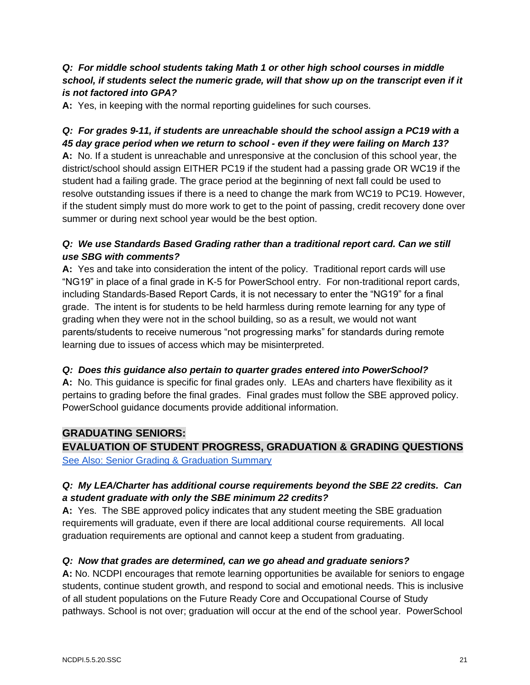# *Q: For middle school students taking Math 1 or other high school courses in middle school, if students select the numeric grade, will that show up on the transcript even if it is not factored into GPA?*

**A:** Yes, in keeping with the normal reporting guidelines for such courses.

# *Q: For grades 9-11, if students are unreachable should the school assign a PC19 with a 45 day grace period when we return to school - even if they were failing on March 13?*

**A:** No. If a student is unreachable and unresponsive at the conclusion of this school year, the district/school should assign EITHER PC19 if the student had a passing grade OR WC19 if the student had a failing grade. The grace period at the beginning of next fall could be used to resolve outstanding issues if there is a need to change the mark from WC19 to PC19. However, if the student simply must do more work to get to the point of passing, credit recovery done over summer or during next school year would be the best option.

# *Q: We use Standards Based Grading rather than a traditional report card. Can we still use SBG with comments?*

**A:** Yes and take into consideration the intent of the policy. Traditional report cards will use "NG19" in place of a final grade in K-5 for PowerSchool entry. For non-traditional report cards, including Standards-Based Report Cards, it is not necessary to enter the "NG19" for a final grade. The intent is for students to be held harmless during remote learning for any type of grading when they were not in the school building, so as a result, we would not want parents/students to receive numerous "not progressing marks" for standards during remote learning due to issues of access which may be misinterpreted.

# *Q: Does this guidance also pertain to quarter grades entered into PowerSchool?*

**A:** No. This guidance is specific for final grades only. LEAs and charters have flexibility as it pertains to grading before the final grades. Final grades must follow the SBE approved policy. PowerSchool guidance documents provide additional information.

# **GRADUATING SENIORS:**

**EVALUATION OF STUDENT PROGRESS, GRADUATION & GRADING QUESTIONS** [See Also: Senior Grading & Graduation Summary](https://drive.google.com/file/d/1kljXs0j5VMOHvRrQinpQ2grMYE3d2nHG/view?usp=sharing)

# *Q: My LEA/Charter has additional course requirements beyond the SBE 22 credits. Can a student graduate with only the SBE minimum 22 credits?*

**A:** Yes. The SBE approved policy indicates that any student meeting the SBE graduation requirements will graduate, even if there are local additional course requirements. All local graduation requirements are optional and cannot keep a student from graduating.

# *Q: Now that grades are determined, can we go ahead and graduate seniors?*

**A:** No. NCDPI encourages that remote learning opportunities be available for seniors to engage students, continue student growth, and respond to social and emotional needs. This is inclusive of all student populations on the Future Ready Core and Occupational Course of Study pathways. School is not over; graduation will occur at the end of the school year. PowerSchool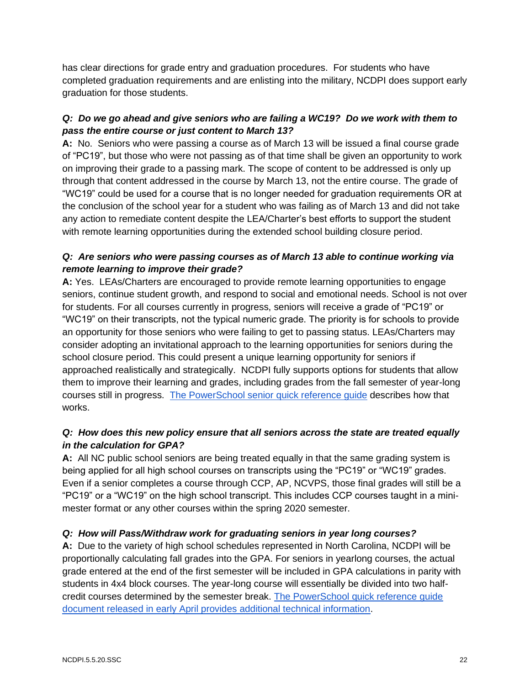has clear directions for grade entry and graduation procedures. For students who have completed graduation requirements and are enlisting into the military, NCDPI does support early graduation for those students.

# *Q: Do we go ahead and give seniors who are failing a WC19? Do we work with them to pass the entire course or just content to March 13?*

**A:** No. Seniors who were passing a course as of March 13 will be issued a final course grade of "PC19", but those who were not passing as of that time shall be given an opportunity to work on improving their grade to a passing mark. The scope of content to be addressed is only up through that content addressed in the course by March 13, not the entire course. The grade of "WC19" could be used for a course that is no longer needed for graduation requirements OR at the conclusion of the school year for a student who was failing as of March 13 and did not take any action to remediate content despite the LEA/Charter's best efforts to support the student with remote learning opportunities during the extended school building closure period.

# *Q: Are seniors who were passing courses as of March 13 able to continue working via remote learning to improve their grade?*

**A:** Yes. LEAs/Charters are encouraged to provide remote learning opportunities to engage seniors, continue student growth, and respond to social and emotional needs. School is not over for students. For all courses currently in progress, seniors will receive a grade of "PC19" or "WC19" on their transcripts, not the typical numeric grade. The priority is for schools to provide an opportunity for those seniors who were failing to get to passing status. LEAs/Charters may consider adopting an invitational approach to the learning opportunities for seniors during the school closure period. This could present a unique learning opportunity for seniors if approached realistically and strategically. NCDPI fully supports options for students that allow them to improve their learning and grades, including grades from the fall semester of year-long courses still in progress. [The PowerSchool senior quick reference guide](https://docs.google.com/document/d/1_nxQzP5o2WeVYvIHNGevxbPKys0Z91s9r2M2OLSOyHI/edit?usp=sharing) describes how that works.

# *Q: How does this new policy ensure that all seniors across the state are treated equally in the calculation for GPA?*

**A:** All NC public school seniors are being treated equally in that the same grading system is being applied for all high school courses on transcripts using the "PC19" or "WC19" grades. Even if a senior completes a course through CCP, AP, NCVPS, those final grades will still be a "PC19" or a "WC19" on the high school transcript. This includes CCP courses taught in a minimester format or any other courses within the spring 2020 semester.

# *Q: How will Pass/Withdraw work for graduating seniors in year long courses?*

**A:** Due to the variety of high school schedules represented in North Carolina, NCDPI will be proportionally calculating fall grades into the GPA. For seniors in yearlong courses, the actual grade entered at the end of the first semester will be included in GPA calculations in parity with students in 4x4 block courses. The year-long course will essentially be divided into two halfcredit courses determined by the semester break. [The PowerSchool quick reference guide](https://docs.google.com/document/d/1_nxQzP5o2WeVYvIHNGevxbPKys0Z91s9r2M2OLSOyHI/edit?usp=sharing)  [document released in early April provides additional technical information.](https://docs.google.com/document/d/1_nxQzP5o2WeVYvIHNGevxbPKys0Z91s9r2M2OLSOyHI/edit?usp=sharing)